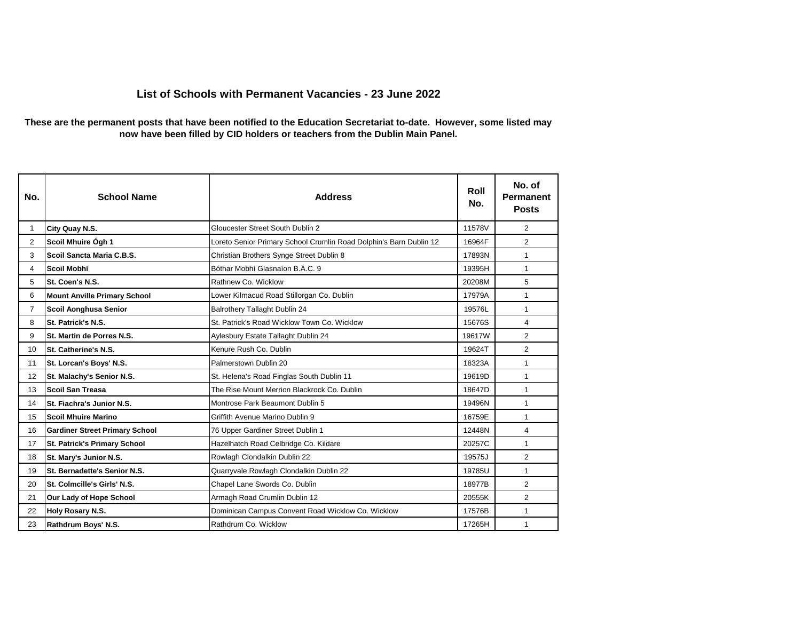## **List of Schools with Permanent Vacancies - 23 June 2022**

## **These are the permanent posts that have been notified to the Education Secretariat to-date. However, some listed may now have been filled by CID holders or teachers from the Dublin Main Panel.**

| No.            | <b>School Name</b>                    | <b>Address</b>                                                     | Roll<br>No. | No. of<br>Permanent<br><b>Posts</b> |
|----------------|---------------------------------------|--------------------------------------------------------------------|-------------|-------------------------------------|
| 1              | City Quay N.S.                        | Gloucester Street South Dublin 2                                   | 11578V      | $\overline{2}$                      |
| $\overline{2}$ | Scoil Mhuire Ógh 1                    | Loreto Senior Primary School Crumlin Road Dolphin's Barn Dublin 12 | 16964F      | $\overline{2}$                      |
| 3              | Scoil Sancta Maria C.B.S.             | Christian Brothers Synge Street Dublin 8                           | 17893N      | 1                                   |
| 4              | Scoil Mobhí                           | Bóthar Mobhí Glasnaíon B.Á.C. 9                                    | 19395H      | 1                                   |
| 5              | St. Coen's N.S.                       | Rathnew Co. Wicklow                                                | 20208M      | 5                                   |
| 6              | <b>Mount Anville Primary School</b>   | Lower Kilmacud Road Stillorgan Co. Dublin                          | 17979A      | $\mathbf{1}$                        |
| $\overline{7}$ | Scoil Aonghusa Senior                 | Balrothery Tallaght Dublin 24                                      | 19576L      | 1                                   |
| 8              | St. Patrick's N.S.                    | St. Patrick's Road Wicklow Town Co. Wicklow                        | 15676S      | $\overline{4}$                      |
| 9              | St. Martin de Porres N.S.             | Aylesbury Estate Tallaght Dublin 24                                | 19617W      | $\overline{2}$                      |
| 10             | St. Catherine's N.S.                  | Kenure Rush Co. Dublin                                             | 19624T      | $\overline{2}$                      |
| 11             | St. Lorcan's Boys' N.S.               | Palmerstown Dublin 20                                              | 18323A      | 1                                   |
| 12             | St. Malachy's Senior N.S.             | St. Helena's Road Finglas South Dublin 11                          | 19619D      | $\mathbf{1}$                        |
| 13             | Scoil San Treasa                      | The Rise Mount Merrion Blackrock Co. Dublin                        | 18647D      | 1                                   |
| 14             | St. Fiachra's Junior N.S.             | Montrose Park Beaumont Dublin 5                                    | 19496N      | 1                                   |
| 15             | Scoil Mhuire Marino                   | Griffith Avenue Marino Dublin 9                                    | 16759E      | $\mathbf{1}$                        |
| 16             | <b>Gardiner Street Primary School</b> | 76 Upper Gardiner Street Dublin 1                                  | 12448N      | 4                                   |
| 17             | <b>St. Patrick's Primary School</b>   | Hazelhatch Road Celbridge Co. Kildare                              | 20257C      | $\mathbf{1}$                        |
| 18             | St. Mary's Junior N.S.                | Rowlagh Clondalkin Dublin 22                                       | 19575J      | $\overline{2}$                      |
| 19             | St. Bernadette's Senior N.S.          | Quarryvale Rowlagh Clondalkin Dublin 22                            | 19785U      | $\mathbf{1}$                        |
| 20             | St. Colmcille's Girls' N.S.           | Chapel Lane Swords Co. Dublin                                      | 18977B      | 2                                   |
| 21             | Our Lady of Hope School               | Armagh Road Crumlin Dublin 12                                      | 20555K      | $\overline{2}$                      |
| 22             | Holy Rosary N.S.                      | Dominican Campus Convent Road Wicklow Co. Wicklow                  | 17576B      | $\mathbf{1}$                        |
| 23             | Rathdrum Boys' N.S.                   | Rathdrum Co. Wicklow                                               | 17265H      | 1                                   |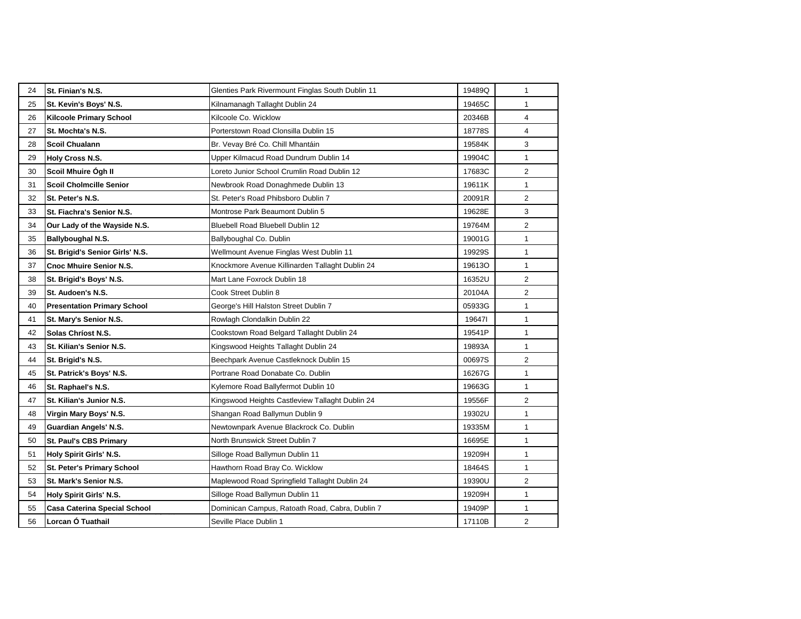| 24 | St. Finian's N.S.                   | Glenties Park Rivermount Finglas South Dublin 11 | 19489Q | 1              |
|----|-------------------------------------|--------------------------------------------------|--------|----------------|
| 25 | St. Kevin's Boys' N.S.              | Kilnamanagh Tallaght Dublin 24                   | 19465C | $\mathbf{1}$   |
| 26 | <b>Kilcoole Primary School</b>      | Kilcoole Co. Wicklow                             | 20346B | 4              |
| 27 | St. Mochta's N.S.                   | Porterstown Road Clonsilla Dublin 15             | 18778S | 4              |
| 28 | <b>Scoil Chualann</b>               | Br. Vevay Bré Co. Chill Mhantáin                 | 19584K | 3              |
| 29 | Holy Cross N.S.                     | Upper Kilmacud Road Dundrum Dublin 14            | 19904C | 1              |
| 30 | Scoil Mhuire Ógh II                 | Loreto Junior School Crumlin Road Dublin 12      | 17683C | $\overline{2}$ |
| 31 | <b>Scoil Cholmcille Senior</b>      | Newbrook Road Donaghmede Dublin 13               | 19611K | $\mathbf{1}$   |
| 32 | St. Peter's N.S.                    | St. Peter's Road Phibsboro Dublin 7              | 20091R | $\overline{2}$ |
| 33 | St. Fiachra's Senior N.S.           | Montrose Park Beaumont Dublin 5                  | 19628E | 3              |
| 34 | Our Lady of the Wayside N.S.        | Bluebell Road Bluebell Dublin 12                 | 19764M | 2              |
| 35 | Ballyboughal N.S.                   | Ballyboughal Co. Dublin                          | 19001G | $\mathbf{1}$   |
| 36 | St. Brigid's Senior Girls' N.S.     | Wellmount Avenue Finglas West Dublin 11          | 19929S | $\mathbf{1}$   |
| 37 | <b>Cnoc Mhuire Senior N.S.</b>      | Knockmore Avenue Killinarden Tallaght Dublin 24  | 19613O | 1              |
| 38 | St. Brigid's Boys' N.S.             | Mart Lane Foxrock Dublin 18                      | 16352U | 2              |
| 39 | St. Audoen's N.S.                   | Cook Street Dublin 8                             | 20104A | 2              |
| 40 | <b>Presentation Primary School</b>  | George's Hill Halston Street Dublin 7            | 05933G | 1              |
| 41 | St. Mary's Senior N.S.              | Rowlagh Clondalkin Dublin 22                     | 196471 | $\mathbf{1}$   |
| 42 | Solas Chríost N.S.                  | Cookstown Road Belgard Tallaght Dublin 24        | 19541P | $\mathbf{1}$   |
| 43 | St. Kilian's Senior N.S.            | Kingswood Heights Tallaght Dublin 24             | 19893A | $\mathbf{1}$   |
| 44 | St. Brigid's N.S.                   | Beechpark Avenue Castleknock Dublin 15           | 00697S | $\overline{2}$ |
| 45 | St. Patrick's Boys' N.S.            | Portrane Road Donabate Co. Dublin                | 16267G | $\mathbf{1}$   |
| 46 | St. Raphael's N.S.                  | Kylemore Road Ballyfermot Dublin 10              | 19663G | $\mathbf{1}$   |
| 47 | St. Kilian's Junior N.S.            | Kingswood Heights Castleview Tallaght Dublin 24  | 19556F | $\overline{2}$ |
| 48 | Virgin Mary Boys' N.S.              | Shangan Road Ballymun Dublin 9                   | 19302U | 1              |
| 49 | Guardian Angels' N.S.               | Newtownpark Avenue Blackrock Co. Dublin          | 19335M | $\mathbf{1}$   |
| 50 | St. Paul's CBS Primary              | North Brunswick Street Dublin 7                  | 16695E | $\mathbf{1}$   |
| 51 | <b>Holy Spirit Girls' N.S.</b>      | Silloge Road Ballymun Dublin 11                  | 19209H | $\mathbf{1}$   |
| 52 | St. Peter's Primary School          | Hawthorn Road Bray Co. Wicklow                   | 18464S | 1              |
| 53 | St. Mark's Senior N.S.              | Maplewood Road Springfield Tallaght Dublin 24    | 19390U | 2              |
| 54 | <b>Holy Spirit Girls' N.S.</b>      | Silloge Road Ballymun Dublin 11                  | 19209H | $\mathbf{1}$   |
| 55 | <b>Casa Caterina Special School</b> | Dominican Campus, Ratoath Road, Cabra, Dublin 7  | 19409P | $\mathbf{1}$   |
| 56 | Lorcan Ó Tuathail                   | Seville Place Dublin 1                           | 17110B | $\overline{2}$ |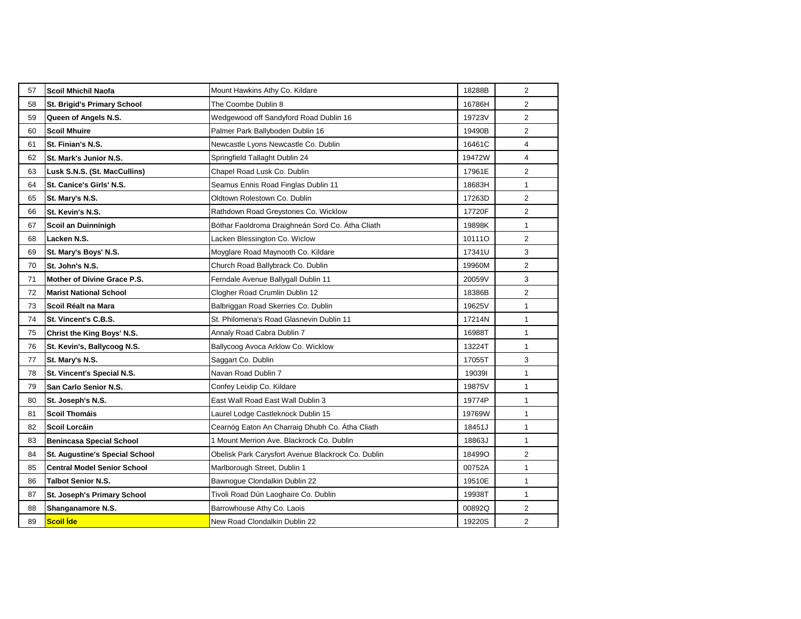| 57 | Scoil Mhichíl Naofa                   | Mount Hawkins Athy Co. Kildare                     | 18288B | $\overline{2}$ |
|----|---------------------------------------|----------------------------------------------------|--------|----------------|
| 58 | <b>St. Brigid's Primary School</b>    | The Coombe Dublin 8                                | 16786H | $\overline{2}$ |
| 59 | Queen of Angels N.S.                  | Wedgewood off Sandyford Road Dublin 16             | 19723V | $\overline{2}$ |
| 60 | <b>Scoil Mhuire</b>                   | Palmer Park Ballyboden Dublin 16                   | 19490B | $\overline{2}$ |
| 61 | St. Finian's N.S.                     | Newcastle Lyons Newcastle Co. Dublin               | 16461C | $\overline{4}$ |
| 62 | St. Mark's Junior N.S.                | Springfield Tallaght Dublin 24                     | 19472W | $\overline{4}$ |
| 63 | Lusk S.N.S. (St. MacCullins)          | Chapel Road Lusk Co. Dublin                        | 17961E | 2              |
| 64 | St. Canice's Girls' N.S.              | Seamus Ennis Road Finglas Dublin 11                | 18683H | $\mathbf{1}$   |
| 65 | St. Mary's N.S.                       | Oldtown Rolestown Co. Dublin                       | 17263D | 2              |
| 66 | St. Kevin's N.S.                      | Rathdown Road Greystones Co. Wicklow               | 17720F | $\overline{2}$ |
| 67 | Scoil an Duinnínigh                   | Bóthar Faoldroma Draighneán Sord Co. Átha Cliath   | 19898K | $\mathbf{1}$   |
| 68 | Lacken N.S.                           | Lacken Blessington Co. Wiclow                      | 101110 | $\overline{c}$ |
| 69 | St. Mary's Boys' N.S.                 | Moyglare Road Maynooth Co. Kildare                 | 17341U | 3              |
| 70 | St. John's N.S.                       | Church Road Ballybrack Co. Dublin                  | 19960M | $\overline{2}$ |
| 71 | Mother of Divine Grace P.S.           | Ferndale Avenue Ballygall Dublin 11                | 20059V | 3              |
| 72 | <b>Marist National School</b>         | Clogher Road Crumlin Dublin 12                     | 18386B | $\overline{2}$ |
| 73 | Scoil Réalt na Mara                   | Balbriggan Road Skerries Co. Dublin                | 19625V | $\mathbf{1}$   |
| 74 | St. Vincent's C.B.S.                  | St. Philomena's Road Glasnevin Dublin 11           | 17214N | $\mathbf{1}$   |
| 75 | Christ the King Boys' N.S.            | Annaly Road Cabra Dublin 7                         | 16988T | $\mathbf{1}$   |
| 76 | St. Kevin's, Ballycoog N.S.           | Ballycoog Avoca Arklow Co. Wicklow                 | 13224T | $\mathbf{1}$   |
| 77 | St. Mary's N.S.                       | Saggart Co. Dublin                                 | 17055T | 3              |
| 78 | St. Vincent's Special N.S.            | Navan Road Dublin 7                                | 190391 | $\mathbf{1}$   |
| 79 | San Carlo Senior N.S.                 | Confey Leixlip Co. Kildare                         | 19875V | $\mathbf{1}$   |
| 80 | St. Joseph's N.S.                     | East Wall Road East Wall Dublin 3                  | 19774P | $\mathbf{1}$   |
| 81 | Scoil Thomáis                         | Laurel Lodge Castleknock Dublin 15                 | 19769W | $\mathbf{1}$   |
| 82 | <b>Scoil Lorcáin</b>                  | Cearnóg Eaton An Charraig Dhubh Co. Átha Cliath    | 18451J | $\mathbf{1}$   |
| 83 | <b>Benincasa Special School</b>       | 1 Mount Merrion Ave. Blackrock Co. Dublin          | 18863J | $\mathbf{1}$   |
| 84 | <b>St. Augustine's Special School</b> | Obelisk Park Carysfort Avenue Blackrock Co. Dublin | 18499O | 2              |
| 85 | <b>Central Model Senior School</b>    | Marlborough Street, Dublin 1                       | 00752A | $\mathbf{1}$   |
| 86 | <b>Talbot Senior N.S.</b>             | Bawnogue Clondalkin Dublin 22                      | 19510E | $\mathbf{1}$   |
| 87 | St. Joseph's Primary School           | Tivoli Road Dún Laoghaire Co. Dublin               | 19938T | $\mathbf{1}$   |
| 88 | Shanganamore N.S.                     | Barrowhouse Athy Co. Laois                         | 00892Q | 2              |
| 89 | Scoil Íde                             | New Road Clondalkin Dublin 22                      | 19220S | $\overline{2}$ |